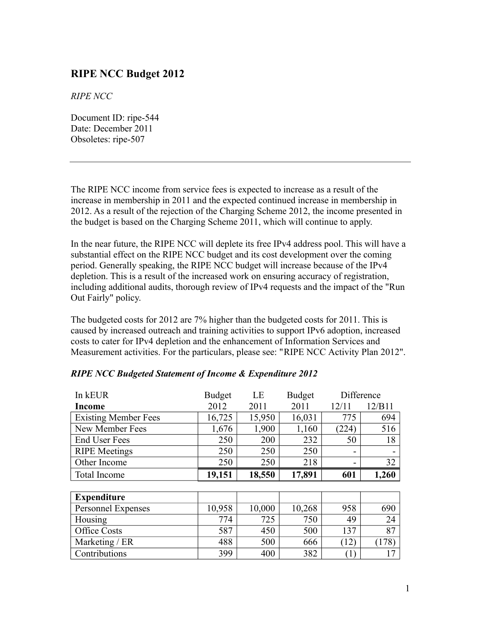## **RIPE NCC Budget 2012**

*RIPE NCC*

Document ID: ripe-544 Date: December 2011 Obsoletes: ripe-507

The RIPE NCC income from service fees is expected to increase as a result of the increase in membership in 2011 and the expected continued increase in membership in 2012. As a result of the rejection of the Charging Scheme 2012, the income presented in the budget is based on the Charging Scheme 2011, which will continue to apply.

In the near future, the RIPE NCC will deplete its free IPv4 address pool. This will have a substantial effect on the RIPE NCC budget and its cost development over the coming period. Generally speaking, the RIPE NCC budget will increase because of the IPv4 depletion. This is a result of the increased work on ensuring accuracy of registration, including additional audits, thorough review of IPv4 requests and the impact of the "Run Out Fairly" policy.

The budgeted costs for 2012 are 7% higher than the budgeted costs for 2011. This is caused by increased outreach and training activities to support IPv6 adoption, increased costs to cater for IPv4 depletion and the enhancement of Information Services and Measurement activities. For the particulars, please see: "RIPE NCC Activity Plan 2012".

| In kEUR                     | <b>Budget</b> | LE     | <b>Budget</b> | Difference       |        |
|-----------------------------|---------------|--------|---------------|------------------|--------|
| <b>Income</b>               | 2012          | 2011   | 2011          | 12/11            | 12/B11 |
| <b>Existing Member Fees</b> | 16,725        | 15,950 | 16,031        | 775              | 694    |
| New Member Fees             | 1,676         | 1,900  | 1,160         | (224)            | 516    |
| <b>End User Fees</b>        | 250           | 200    | 232           | 50               | 18     |
| <b>RIPE</b> Meetings        | 250           | 250    | 250           | $\blacksquare$   |        |
| Other Income                | 250           | 250    | 218           | $\blacksquare$   | 32     |
| <b>Total Income</b>         | 19,151        | 18,550 | 17,891        | 601              | 1,260  |
|                             |               |        |               |                  |        |
| <b>Expenditure</b>          |               |        |               |                  |        |
| <b>Personnel Expenses</b>   | 10,958        | 10,000 | 10,268        | 958              | 690    |
| Housing                     | 774           | 725    | 750           | 49               | 24     |
| Office Costs                | 587           | 450    | 500           | 137              | 87     |
| Marketing / ER              | 488           | 500    | 666           | (12)             | (178)  |
| Contributions               | 399           | 400    | 382           | $\left(1\right)$ | 17     |

|  |  |  | <b>RIPE NCC Budgeted Statement of Income &amp; Expenditure 2012</b> |
|--|--|--|---------------------------------------------------------------------|
|--|--|--|---------------------------------------------------------------------|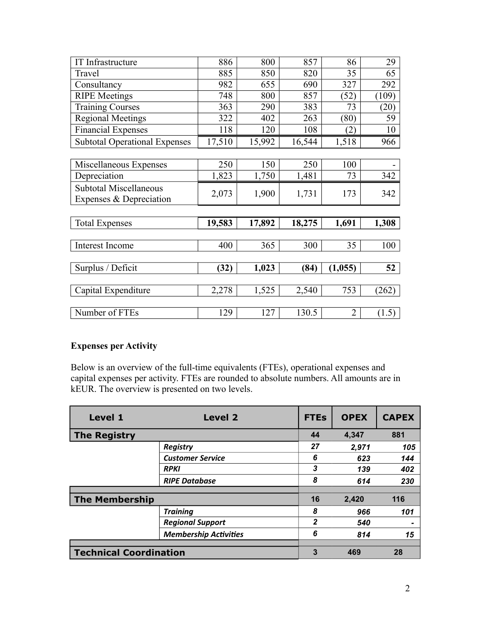| 886    | 800    | 857    | 86             | 29                 |
|--------|--------|--------|----------------|--------------------|
| 885    | 850    | 820    | 35             | 65                 |
| 982    | 655    | 690    | 327            | 292                |
| 748    | 800    | 857    | (52)           | (109)              |
| 363    | 290    | 383    | 73             | $\left( 20\right)$ |
| 322    | 402    | 263    | (80)           | 59                 |
| 118    | 120    | 108    | (2)            | 10                 |
| 17,510 | 15,992 | 16,544 | 1,518          | 966                |
|        |        |        |                |                    |
| 250    | 150    | 250    | 100            |                    |
| 1,823  | 1,750  | 1,481  | 73             | 342                |
|        |        |        |                | 342                |
|        |        |        |                |                    |
|        |        |        |                |                    |
| 19,583 | 17,892 | 18,275 | 1,691          | 1,308              |
|        |        |        |                |                    |
| 400    | 365    | 300    | 35             | 100                |
|        |        |        |                |                    |
| (32)   | 1,023  | (84)   | (1,055)        | 52                 |
|        |        |        |                |                    |
| 2,278  | 1,525  | 2,540  | 753            | (262)              |
|        |        |        |                |                    |
| 129    | 127    | 130.5  | $\overline{2}$ | (1.5)              |
|        | 2,073  | 1,900  | 1,731          | 173                |

## **Expenses per Activity**

Below is an overview of the full-time equivalents (FTEs), operational expenses and capital expenses per activity. FTEs are rounded to absolute numbers. All amounts are in kEUR. The overview is presented on two levels.

| <b>Level 1</b>                | Level 2                      | <b>FTEs</b>  | <b>OPEX</b> | <b>CAPEX</b> |
|-------------------------------|------------------------------|--------------|-------------|--------------|
| <b>The Registry</b>           |                              | 44           | 4,347       | 881          |
|                               | <b>Registry</b>              | 27           | 2,971       | 105          |
|                               | <b>Customer Service</b>      | 6            | 623         | 144          |
|                               | <b>RPKI</b>                  | 3            | 139         | 402          |
|                               | <b>RIPE Database</b>         | 8            | 614         | 230          |
|                               |                              |              |             |              |
| <b>The Membership</b>         |                              | 16           | 2,420       | 116          |
|                               | <b>Training</b>              | 8            | 966         | 101          |
|                               | <b>Regional Support</b>      | $\mathbf{2}$ | 540         |              |
|                               | <b>Membership Activities</b> | 6            | 814         | 15           |
|                               |                              |              |             |              |
| <b>Technical Coordination</b> |                              | 3            | 469         | 28           |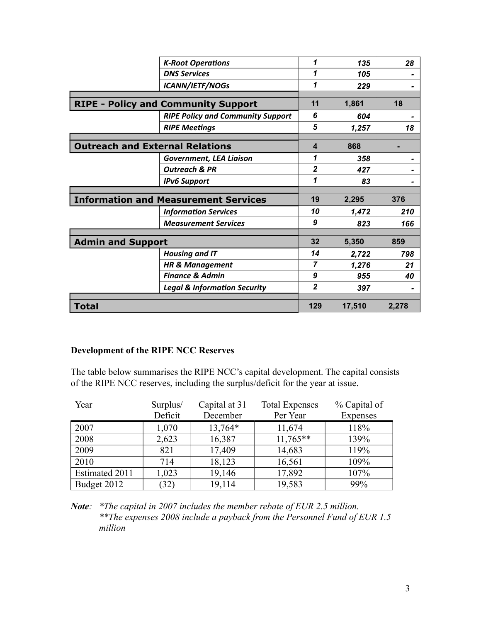|                                        | <b>K-Root Operations</b>                    | 1              | 135    | 28    |
|----------------------------------------|---------------------------------------------|----------------|--------|-------|
|                                        | <b>DNS Services</b>                         | 1              | 105    |       |
|                                        | <b>ICANN/IETF/NOGs</b>                      | 1              | 229    |       |
|                                        |                                             |                |        |       |
|                                        | <b>RIPE - Policy and Community Support</b>  | 11             | 1,861  | 18    |
|                                        | <b>RIPE Policy and Community Support</b>    | 6              | 604    |       |
|                                        | <b>RIPE Meetings</b>                        | 5              | 1,257  | 18    |
|                                        |                                             |                |        |       |
| <b>Outreach and External Relations</b> |                                             | 4              | 868    |       |
|                                        | <b>Government, LEA Liaison</b>              | 1              | 358    |       |
|                                        | <b>Outreach &amp; PR</b>                    | $\overline{2}$ | 427    |       |
|                                        | <b>IPv6 Support</b>                         | 1              | 83     |       |
|                                        |                                             |                |        |       |
|                                        | <b>Information and Measurement Services</b> | 19             | 2,295  | 376   |
|                                        | <b>Information Services</b>                 | 10             | 1,472  | 210   |
|                                        | <b>Measurement Services</b>                 | 9              | 823    | 166   |
|                                        |                                             |                |        |       |
| <b>Admin and Support</b>               |                                             | 32             | 5,350  | 859   |
|                                        | <b>Housing and IT</b>                       | 14             | 2,722  | 798   |
|                                        | <b>HR &amp; Management</b>                  | 7              | 1,276  | 21    |
|                                        | <b>Finance &amp; Admin</b>                  | 9              | 955    | 40    |
|                                        | <b>Legal &amp; Information Security</b>     | $\mathbf{2}$   | 397    |       |
|                                        |                                             |                |        |       |
| <b>Total</b>                           |                                             | 129            | 17,510 | 2,278 |

## **Development of the RIPE NCC Reserves**

The table below summarises the RIPE NCC's capital development. The capital consists of the RIPE NCC reserves, including the surplus/deficit for the year at issue.

| Year           | Surplus/ | Capital at 31 | <b>Total Expenses</b> | % Capital of |
|----------------|----------|---------------|-----------------------|--------------|
|                | Deficit  | December      | Per Year              | Expenses     |
| 2007           | 1,070    | 13,764*       | 11,674                | 118%         |
| 2008           | 2,623    | 16,387        | $11,765**$            | 139%         |
| 2009           | 821      | 17,409        | 14,683                | 119%         |
| 2010           | 714      | 18,123        | 16,561                | 109%         |
| Estimated 2011 | 1,023    | 19,146        | 17,892                | 107%         |
| Budget 2012    | (32)     | 19,114        | 19,583                | 99%          |

*Note: \*The capital in 2007 includes the member rebate of EUR 2.5 million. \*\*The expenses 2008 include a payback from the Personnel Fund of EUR 1.5 million*